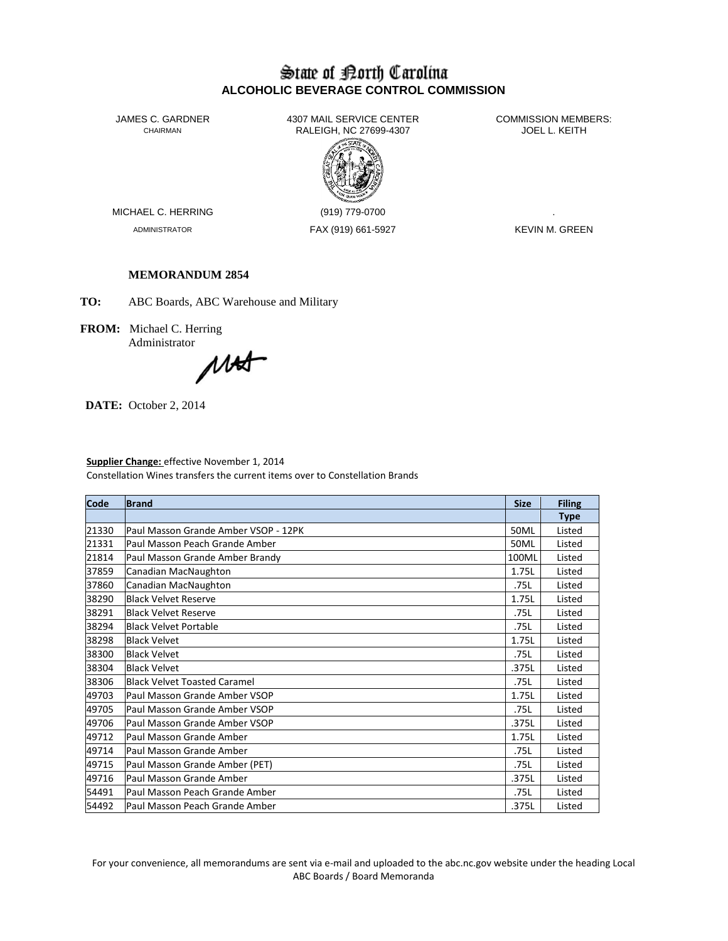# State of Borth Carolina **ALCOHOLIC BEVERAGE CONTROL COMMISSION**

JAMES C. GARDNER 4307 MAIL SERVICE CENTER<br>CHAIRMAN CHAIRMAN RALEIGH, NC 27699-4307 RALEIGH, NC 27699-4307



MICHAEL C. HERRING (919) 779-0700

ADMINISTRATOR FAX (919) 661-5927 KEVIN M. GREEN

# **MEMORANDUM 2854**

**TO:** ABC Boards, ABC Warehouse and Military

**FROM:** Michael C. Herring Administrator

MAX

**DATE:** October 2, 2014

# **Supplier Change:** effective November 1, 2014

Constellation Wines transfers the current items over to Constellation Brands

| <b>Code</b> | <b>Brand</b>                          | <b>Size</b> | <b>Filing</b> |
|-------------|---------------------------------------|-------------|---------------|
|             |                                       |             | <b>Type</b>   |
| 21330       | lPaul Masson Grande Amber VSOP - 12PK | 50ML        | Listed        |
| 21331       | Paul Masson Peach Grande Amber        | 50ML        | Listed        |
| 21814       | Paul Masson Grande Amber Brandy       | 100ML       | Listed        |
| 37859       | Canadian MacNaughton                  | 1.75L       | Listed        |
| 37860       | Canadian MacNaughton                  | .75L        | Listed        |
| 38290       | <b>Black Velvet Reserve</b>           | 1.75L       | Listed        |
| 38291       | <b>Black Velvet Reserve</b>           | .75L        | Listed        |
| 38294       | <b>Black Velvet Portable</b>          | .75L        | Listed        |
| 38298       | <b>Black Velvet</b>                   | 1.75L       | Listed        |
| 38300       | <b>Black Velvet</b>                   | .75L        | Listed        |
| 38304       | <b>Black Velvet</b>                   | .375L       | Listed        |
| 38306       | <b>Black Velvet Toasted Caramel</b>   | .75L        | Listed        |
| 49703       | Paul Masson Grande Amber VSOP         | 1.75L       | Listed        |
| 49705       | lPaul Masson Grande Amber VSOP        | .75L        | Listed        |
| 49706       | lPaul Masson Grande Amber VSOP        | .375L       | Listed        |
| 49712       | Paul Masson Grande Amber              | 1.75L       | Listed        |
| 49714       | Paul Masson Grande Amber              | .75L        | Listed        |
| 49715       | Paul Masson Grande Amber (PET)        | .75L        | Listed        |
| 49716       | Paul Masson Grande Amber              | .375L       | Listed        |
| 54491       | Paul Masson Peach Grande Amber        | .75L        | Listed        |
| 54492       | Paul Masson Peach Grande Amber        | .375L       | Listed        |

For your convenience, all memorandums are sent via e-mail and uploaded to the abc.nc.gov website under the heading Local ABC Boards / Board Memoranda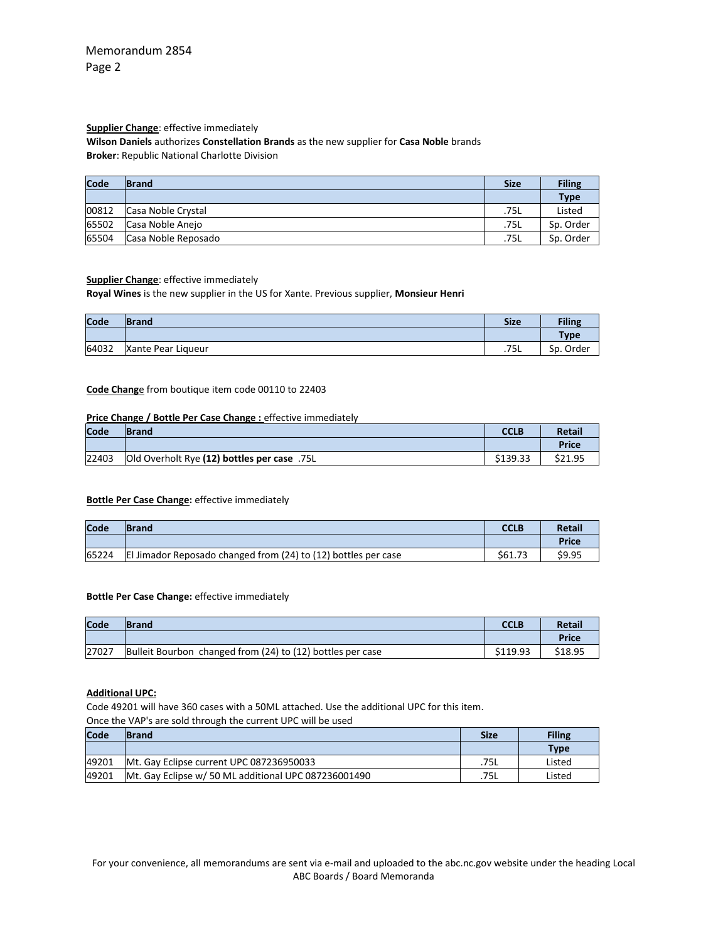# **Supplier Change**: effective immediately

**Wilson Daniels** authorizes **Constellation Brands** as the new supplier for **Casa Noble** brands **Broker**: Republic National Charlotte Division

| Code  | <b>Brand</b>        | <b>Size</b> | <b>Filing</b> |
|-------|---------------------|-------------|---------------|
|       |                     |             | <b>Type</b>   |
| 00812 | Casa Noble Crystal  | .75L        | Listed        |
| 65502 | Casa Noble Anejo    | .75L        | Sp. Order     |
| 65504 | Casa Noble Reposado | .75L        | Sp. Order     |

### **Supplier Change**: effective immediately

**Royal Wines** is the new supplier in the US for Xante. Previous supplier, **Monsieur Henri**

| Code  | <b>Brand</b>       | <b>Size</b> | <b>Filing</b> |
|-------|--------------------|-------------|---------------|
|       |                    |             | <b>Type</b>   |
| 64032 | Xante Pear Liqueur | .75L        | Sp. Order     |

### **Code Chang**e from boutique item code 00110 to 22403

### **Price Change / Bottle Per Case Change :** effective immediately

| Code  | lBrand                                             | CCLB     | <b>Retail</b> |
|-------|----------------------------------------------------|----------|---------------|
|       |                                                    |          | <b>Price</b>  |
| 22403 | <b>Old Overholt Rye (12) bottles per case</b> .75L | \$139.33 | \$21.95       |

### **Bottle Per Case Change:** effective immediately

| Code  | <b>Brand</b>                                                   | <b>CCLB</b> | <b>Retail</b> |
|-------|----------------------------------------------------------------|-------------|---------------|
|       |                                                                |             | Price         |
| 65224 | El Jimador Reposado changed from (24) to (12) bottles per case | \$61.73     | \$9.95        |

### **Bottle Per Case Change:** effective immediately

| Code  | <b>Brand</b>                                               | <b>CCLB</b> | <b>Retail</b> |
|-------|------------------------------------------------------------|-------------|---------------|
|       |                                                            |             | Price         |
| 27027 | Bulleit Bourbon changed from (24) to (12) bottles per case | \$119.93    | \$18.95       |

#### **Additional UPC:**

Code 49201 will have 360 cases with a 50ML attached. Use the additional UPC for this item.

Once the VAP's are sold through the current UPC will be used

| Code  | <b>Brand</b>                                         | <b>Size</b> | Filing      |
|-------|------------------------------------------------------|-------------|-------------|
|       |                                                      |             | <b>Type</b> |
| 49201 | Mt. Gay Eclipse current UPC 087236950033             | .75L        | Listed      |
| 49201 | Mt. Gay Eclipse w/ 50 ML additional UPC 087236001490 | .75L        | Listed      |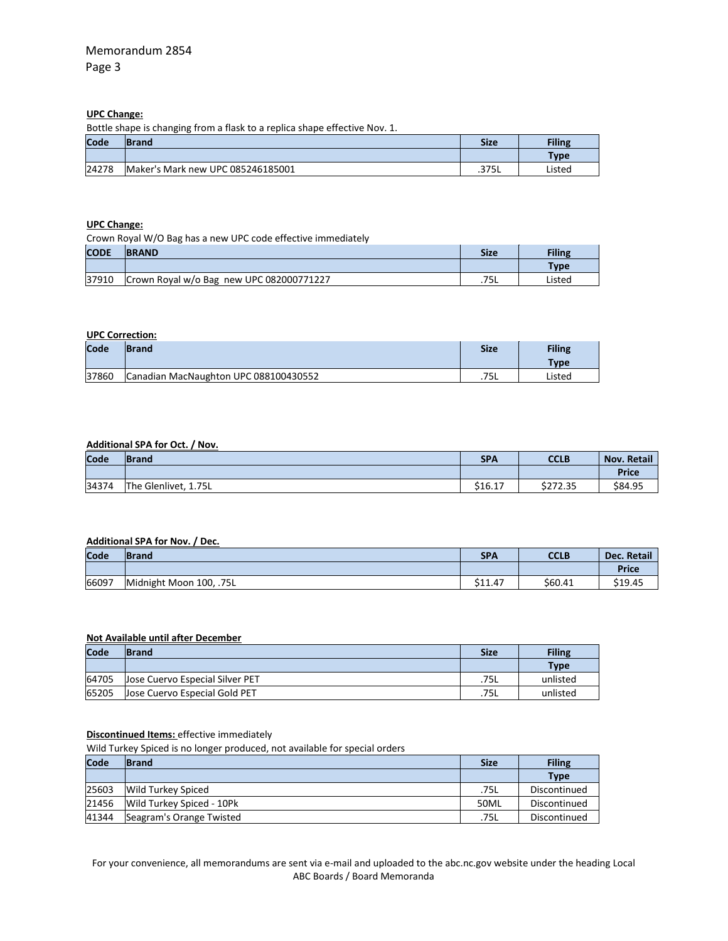# **UPC Change:**

Bottle shape is changing from a flask to a replica shape effective Nov. 1.

| Code  | <b>IBrand</b>                     | <b>Size</b> | <b>Filing</b> |
|-------|-----------------------------------|-------------|---------------|
|       |                                   |             | Type          |
| 24278 | Maker's Mark new UPC 085246185001 | .375L       | Listed        |

# **UPC Change:**

| Crown Royal W/O Bag has a new UPC code effective immediately |                                          |             |             |  |  |
|--------------------------------------------------------------|------------------------------------------|-------------|-------------|--|--|
| <b>CODE</b>                                                  | <b>BRAND</b>                             | <b>Size</b> | Filing      |  |  |
|                                                              |                                          |             | <b>Type</b> |  |  |
| 37910                                                        | Crown Royal w/o Bag new UPC 082000771227 | .75L        | Listed      |  |  |

# **UPC Correction:**

| Code  | <b>Brand</b>                          | <b>Size</b> | <b>Filing</b> |
|-------|---------------------------------------|-------------|---------------|
|       |                                       |             | Type          |
| 37860 | Canadian MacNaughton UPC 088100430552 | .75L        | Listed        |

# **Additional SPA for Oct. / Nov.**

| Code  | <b>IBrand</b>        | <b>SPA</b> | <b>CCLB</b> | <b>Nov. Retail</b> |
|-------|----------------------|------------|-------------|--------------------|
|       |                      |            |             | <b>Price</b>       |
| 34374 | The Glenlivet, 1.75L | \$16.17    | \$272.35    | \$84.95            |

## **Additional SPA for Nov. / Dec.**

| Code  | <b>IBrand</b>           | <b>SPA</b> | CCLB    | Dec. Retail  |
|-------|-------------------------|------------|---------|--------------|
|       |                         |            |         | <b>Price</b> |
| 66097 | Midnight Moon 100, .75L | \$11.47    | \$60.41 | \$19.45      |

## **Not Available until after December**

| Code  | <b>IBrand</b>                   | <b>Size</b> | <b>Filing</b> |
|-------|---------------------------------|-------------|---------------|
|       |                                 |             | <b>Type</b>   |
| 64705 | Jose Cuervo Especial Silver PET | .75L        | unlisted      |
| 65205 | Jose Cuervo Especial Gold PET   | .75L        | unlisted      |

### **Discontinued Items:** effective immediately

Wild Turkey Spiced is no longer produced, not available for special orders

| Code  | <b>Brand</b>              | <b>Size</b> | <b>Filing</b> |
|-------|---------------------------|-------------|---------------|
|       |                           |             | <b>Type</b>   |
| 25603 | <b>Wild Turkey Spiced</b> | .75L        | Discontinued  |
| 21456 | Wild Turkey Spiced - 10Pk | 50ML        | Discontinued  |
| 41344 | Seagram's Orange Twisted  | .75L        | Discontinued  |

For your convenience, all memorandums are sent via e-mail and uploaded to the abc.nc.gov website under the heading Local ABC Boards / Board Memoranda